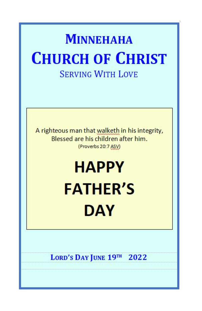## **MINNEHAHA CHURCH OF CHRIST SERVING WITH LOVE**

A righteous man that walketh in his integrity, Blessed are his children after him. (Proverbs 20:7 ASV)

# **HAPPY FATHER'S DAY**

LORD'S DAY JUNE 19TH 2022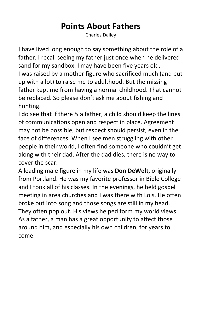## **Points About Fathers**

Charles Dailey

I have lived long enough to say something about the role of a father. I recall seeing my father just once when he delivered sand for my sandbox. I may have been five years old. I was raised by a mother figure who sacrificed much (and put up with a lot) to raise me to adulthood. But the missing father kept me from having a normal childhood. That cannot be replaced. So please don't ask me about fishing and hunting.

I do see that if there *is* a father, a child should keep the lines of communications open and respect in place. Agreement may not be possible, but respect should persist, even in the face of differences. When I see men struggling with other people in their world, I often find someone who couldn't get along with their dad. After the dad dies, there is no way to cover the scar.

A leading male figure in my life was **Don DeWelt**, originally from Portland. He was my favorite professor in Bible College and I took all of his classes. In the evenings, he held gospel meeting in area churches and I was there with Lois. He often broke out into song and those songs are still in my head. They often pop out. His views helped form my world views. As a father, a man has a great opportunity to affect those around him, and especially his own children, for years to come.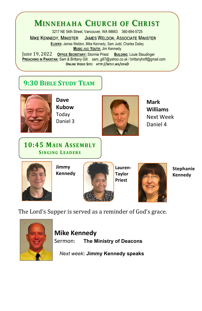## **MINNEHAHA CHURCH OF CHRIST**

3217 NE 54th Street, Vancouver, WA 98663 360-694-5725 **MIKE KENNEDY, MINISTER JAMES WELDON, ASSOCIATE MINISTER ELDERS:** James Weldon, Mike Kennedy, Sam Judd, Charles Dailey **MUSIC** AND **YOUTH:** Jim Kennedy June 19, 2022 **OFFICE SECRETARY:** Stormie Priest BullDING: Louie Staudinger<br>PREACHING IN PAKISTAN: Sam & Brittany Gill: sam gill7@yahoo.co.uk / brittanyhoff@gmail.com **ONLINE VIDEO SITE: HTTP://BITLY.WS/OYAD**

#### **9:30 BIBLESTUDY TEAM**



**Dave Kubow** Today Daniel 3



**Mark Williams** Next Week Daniel 4

#### **10:45 MAIN ASSEMBLY SINGING L EAD ERS**



**Jimmy Kennedy**



**Lauren- Taylor Priest**



**Stephanie Kennedy**

The Lord's Supper is served as a reminder of God's grace.



**Mike Kennedy** Sermon: **The Ministry of Deacons**

*Next week***: Jimmy Kennedy speaks**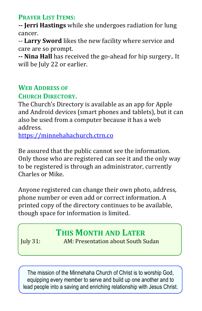**PRAYER LIST ITEMS:**

**-- Jerri Hastings** while she undergoes radiation for lung cancer.

-- **Larry Sword** likes the new facility where service and

**-- Nina Hall** has received the go-ahead for hip surgery.. It will be July 22 or earlier.

## **WEB ADDRESS** OF

#### **CHURCH DIRECTORY.**

The Church's Directory is available as an app for Apple and Android devices (smart phones and tablets), but it can also be used from a computer because it has a web address.

<https://minnehahachurch.ctrn.co>

Be assured that the public cannot see the information. Only those who are registered can see it and the only way to be registered is through an administrator, currently Charles or Mike.

Anyone registered can change their own photo, address, phone number or even add or correct information. A printed copy of the directory continues to be available, though space for information is limited.

### **THIS MONTH AND LATER**

July 31: AM: Presentation about South Sudan

The mission of the Minnehaha Church of Christ is to worship God, equipping every member to serve and build up one another and to lead people into a saving and enriching relationship with Jesus Christ.